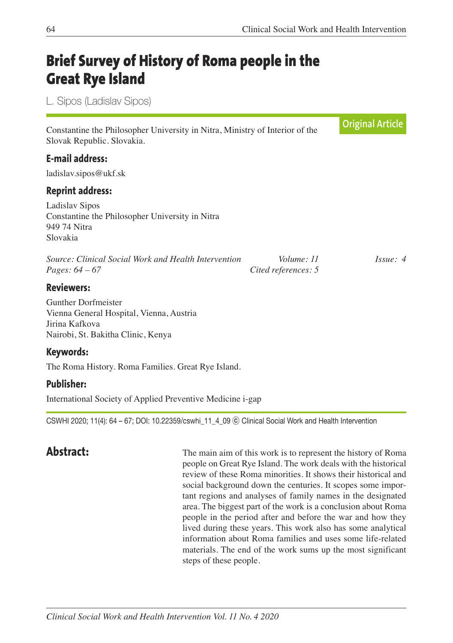# **Brief Survey of History of Roma people in the Great Rye Island**

L. Sipos (Ladislav Sipos)

|                                                                                                                                |                                   | <b>Original Article</b> |
|--------------------------------------------------------------------------------------------------------------------------------|-----------------------------------|-------------------------|
| Constantine the Philosopher University in Nitra, Ministry of Interior of the<br>Slovak Republic. Slovakia.                     |                                   |                         |
| <b>E-mail address:</b>                                                                                                         |                                   |                         |
| ladislav.sipos@ukf.sk                                                                                                          |                                   |                         |
| <b>Reprint address:</b>                                                                                                        |                                   |                         |
| Ladislav Sipos<br>Constantine the Philosopher University in Nitra<br>949 74 Nitra<br>Slovakia                                  |                                   |                         |
| Source: Clinical Social Work and Health Intervention<br><i>Pages:</i> $64 - 67$                                                | Volume: 11<br>Cited references: 5 | Issue: 4                |
| <b>Reviewers:</b>                                                                                                              |                                   |                         |
| <b>Gunther Dorfmeister</b><br>Vienna General Hospital, Vienna, Austria<br>Jirina Kafkova<br>Nairobi, St. Bakitha Clinic, Kenya |                                   |                         |

### **Keywords:**

The Roma History. Roma Families. Great Rye Island.

### **Publisher:**

International Society of Applied Preventive Medicine i-gap

CSWHI 2020; 11(4): 64 – 67; DOI: 10.22359/cswhi\_11\_4\_09 ⓒ Clinical Social Work and Health Intervention

Abstract: The main aim of this work is to represent the history of Roma people on Great Rye Island. The work deals with the historical review of these Roma minorities. It shows their historical and social background down the centuries. It scopes some important regions and analyses of family names in the designated area. The biggest part of the work is a conclusion about Roma people in the period after and before the war and how they lived during these years. This work also has some analytical information about Roma families and uses some life-related materials. The end of the work sums up the most significant steps of these people.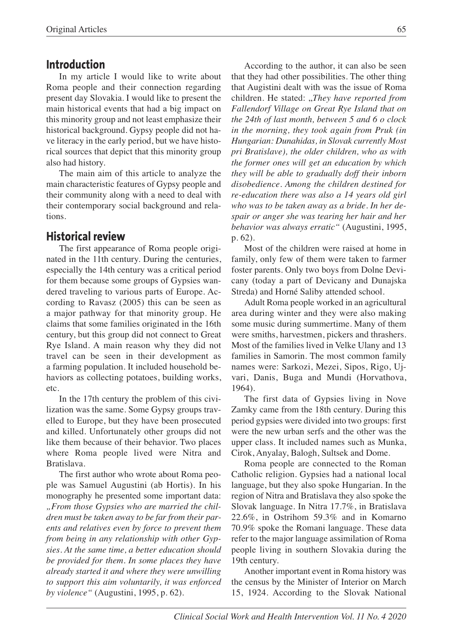#### **Introduction**

In my article I would like to write about Roma people and their connection regarding present day Slovakia. I would like to present the main historical events that had a big impact on this minority group and not least emphasize their historical background. Gypsy people did not have literacy in the early period, but we have historical sources that depict that this minority group also had history.

The main aim of this article to analyze the main characteristic features of Gypsy people and their community along with a need to deal with their contemporary social background and relations.

# **Historical review**

The first appearance of Roma people originated in the 11th century. During the centuries, especially the 14th century was a critical period for them because some groups of Gypsies wandered traveling to various parts of Europe. According to Ravasz (2005) this can be seen as a major pathway for that minority group. He claims that some families originated in the 16th century, but this group did not connect to Great Rye Island. A main reason why they did not travel can be seen in their development as a farming population. It included household behaviors as collecting potatoes, building works, etc.

In the 17th century the problem of this civilization was the same. Some Gypsy groups travelled to Europe, but they have been prosecuted and killed. Unfortunately other groups did not like them because of their behavior. Two places where Roma people lived were Nitra and Bratislava.

The first author who wrote about Roma people was Samuel Augustini (ab Hortis). In his monography he presented some important data: *"From those Gypsies who are married the children must be taken away to be far from their parents and relatives even by force to prevent them from being in any relationship with other Gypsies. At the same time, a better education should be provided for them. In some places they have already started it and where they were unwilling to support this aim voluntarily, it was enforced by violence"* (Augustini, 1995, p. 62).

According to the author, it can also be seen that they had other possibilities. The other thing that Augistini dealt with was the issue of Roma children. He stated: "*They have reported from Fallendorf Village on Great Rye Island that on the 24th of last month, between 5 and 6 o clock in the morning, they took again from Pruk (in Hungarian: Dunahidas, in Slovak currently Most pri Bratislave), the older children, who as with the former ones will get an education by which they will be able to gradually doff their inborn disobedience. Among the children destined for re-education there was also a 14 years old girl who was to be taken away as a bride. In her despair or anger she was tearing her hair and her behavior was always erratic"* (Augustini, 1995, p. 62).

Most of the children were raised at home in family, only few of them were taken to farmer foster parents. Only two boys from Dolne Devicany (today a part of Devicany and Dunajska Streda) and Horné Saliby attended school.

Adult Roma people worked in an agricultural area during winter and they were also making some music during summertime. Many of them were smiths, harvestmen, pickers and thrashers. Most of the families lived in Velke Ulany and 13 families in Samorin. The most common family names were: Sarkozi, Mezei, Sipos, Rigo, Ujvari, Danis, Buga and Mundi (Horvathova, 1964).

The first data of Gypsies living in Nove Zamky came from the 18th century. During this period gypsies were divided into two groups: first were the new urban serfs and the other was the upper class. It included names such as Munka, Cirok, Anyalay, Balogh, Sultsek and Dome.

Roma people are connected to the Roman Catholic religion. Gypsies had a national local language, but they also spoke Hungarian. In the region of Nitra and Bratislava they also spoke the Slovak language. In Nitra 17.7%, in Bratislava 22.6%, in Ostrihom 59.3% and in Komarno 70.9% spoke the Romani language. These data refer to the major language assimilation of Roma people living in southern Slovakia during the 19th century.

Another important event in Roma history was the census by the Minister of Interior on March 15, 1924. According to the Slovak National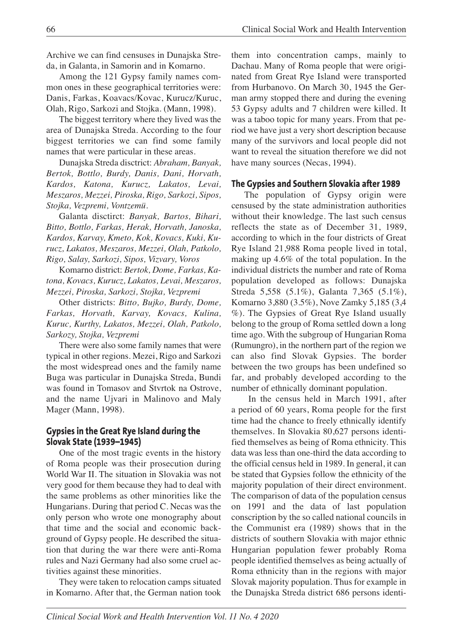Archive we can find censuses in Dunajska Streda, in Galanta, in Samorin and in Komarno.

Among the 121 Gypsy family names common ones in these geographical territories were: Danis, Farkas, Koavacs/Kovac, Kurucz/Kuruc, Olah, Rigo, Sarkozi and Stojka. (Mann, 1998).

The biggest territory where they lived was the area of Dunajska Streda. According to the four biggest territories we can find some family names that were particular in these areas.

Dunajska Streda disctrict: *Abraham, Banyak, Bertok, Bottlo, Burdy, Danis, Dani, Horvath, Kardos, Katona, Kurucz, Lakatos, Levai, Meszaros, Mezzei, Piroska, Rigo, Sarkozi, Sipos, Stojka, Vezpremi, Vontzemü.*

Galanta disctirct: *Banyak, Bartos, Bihari, Bitto, Bottlo, Farkas, Herak, Horvath, Janoska, Kardos, Karvay, Kmeto, Kok, Kovacs, Kuki, Kurucz, Lakatos, Meszaros, Mezzei, Olah, Patkolo, Rigo, Salay, Sarkozi, Sipos, Vizvary, Voros*

Komarno district: *Bertok, Dome, Farkas, Katona, Kovacs, Kurucz, Lakatos, Levai, Meszaros, Mezzei, Piroska, Sarkozi, Stojka, Vezpremi*

Other districts: *Bitto, Bujko, Burdy, Dome, Farkas, Horvath, Karvay, Kovacs, Kulina, Kuruc, Kurthy, Lakatos, Mezzei, Olah, Patkolo, Sarkozy, Stojka, Vezpremi*

There were also some family names that were typical in other regions. Mezei, Rigo and Sarkozi the most widespread ones and the family name Buga was particular in Dunajska Streda, Bundi was found in Tomasov and Stvrtok na Ostrove, and the name Ujvari in Malinovo and Maly Mager (Mann, 1998).

#### **Gypsies in the Great Rye Island during the Slovak State (1939–1945)**

One of the most tragic events in the history of Roma people was their prosecution during World War II. The situation in Slovakia was not very good for them because they had to deal with the same problems as other minorities like the Hungarians. During that period C. Necas was the only person who wrote one monography about that time and the social and economic background of Gypsy people. He described the situation that during the war there were anti-Roma rules and Nazi Germany had also some cruel activities against these minorities.

They were taken to relocation camps situated in Komarno. After that, the German nation took them into concentration camps, mainly to Dachau. Many of Roma people that were originated from Great Rye Island were transported from Hurbanovo. On March 30, 1945 the German army stopped there and during the evening 53 Gypsy adults and 7 children were killed. It was a taboo topic for many years. From that period we have just a very short description because many of the survivors and local people did not want to reveal the situation therefore we did not have many sources (Necas, 1994).

#### **The Gypsies and Southern Slovakia after 1989**

The population of Gypsy origin were censused by the state administration authorities without their knowledge. The last such census reflects the state as of December 31, 1989, according to which in the four districts of Great Rye Island 21,988 Roma people lived in total, making up 4.6% of the total population. In the individual districts the number and rate of Roma population developed as follows: Dunajska Streda 5,558 (5.1%), Galanta 7,365 (5.1%), Komarno 3,880 (3.5%), Nove Zamky 5,185 (3,4 %). The Gypsies of Great Rye Island usually belong to the group of Roma settled down a long time ago. With the subgroup of Hungarian Roma (Rumungro), in the northern part of the region we can also find Slovak Gypsies. The border between the two groups has been undefined so far, and probably developed according to the number of ethnically dominant population.

In the census held in March 1991, after a period of 60 years, Roma people for the first time had the chance to freely ethnically identify themselves. In Slovakia 80,627 persons identified themselves as being of Roma ethnicity. This data was less than one-third the data according to the official census held in 1989. In general, it can be stated that Gypsies follow the ethnicity of the majority population of their direct environment. The comparison of data of the population census on 1991 and the data of last population conscription by the so called national councils in the Communist era (1989) shows that in the districts of southern Slovakia with major ethnic Hungarian population fewer probably Roma people identified themselves as being actually of Roma ethnicity than in the regions with major Slovak majority population. Thus for example in the Dunajska Streda district 686 persons identi-